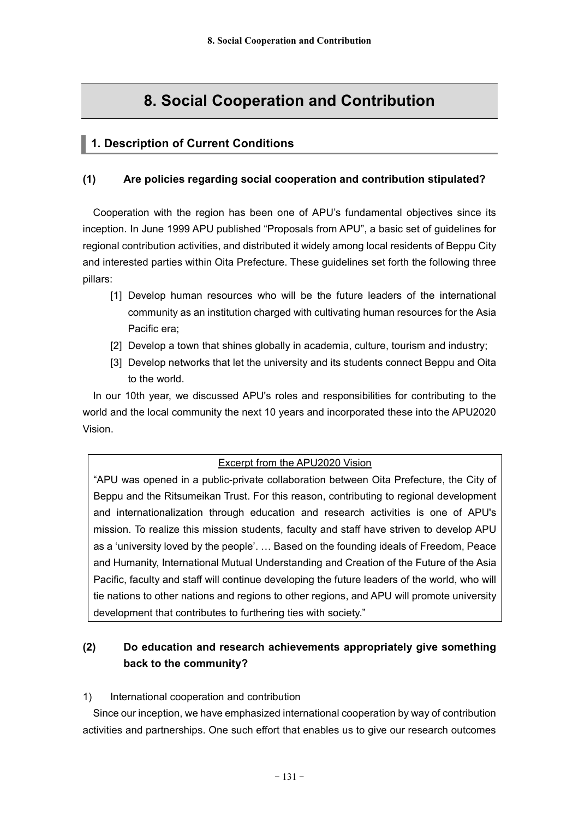# **8. Social Cooperation and Contribution**

# **1. Description of Current Conditions**

## **(1) Are policies regarding social cooperation and contribution stipulated?**

Cooperation with the region has been one of APU's fundamental objectives since its inception. In June 1999 APU published "Proposals from APU", a basic set of guidelines for regional contribution activities, and distributed it widely among local residents of Beppu City and interested parties within Oita Prefecture. These guidelines set forth the following three pillars:

- [1] Develop human resources who will be the future leaders of the international community as an institution charged with cultivating human resources for the Asia Pacific era;
- [2] Develop a town that shines globally in academia, culture, tourism and industry;
- [3] Develop networks that let the university and its students connect Beppu and Oita to the world.

In our 10th year, we discussed APU's roles and responsibilities for contributing to the world and the local community the next 10 years and incorporated these into the APU2020 Vision.

### Excerpt from the APU2020 Vision

"APU was opened in a public-private collaboration between Oita Prefecture, the City of Beppu and the Ritsumeikan Trust. For this reason, contributing to regional development and internationalization through education and research activities is one of APU's mission. To realize this mission students, faculty and staff have striven to develop APU as a 'university loved by the people'. … Based on the founding ideals of Freedom, Peace and Humanity, International Mutual Understanding and Creation of the Future of the Asia Pacific, faculty and staff will continue developing the future leaders of the world, who will tie nations to other nations and regions to other regions, and APU will promote university development that contributes to furthering ties with society."

# **(2) Do education and research achievements appropriately give something back to the community?**

#### 1) International cooperation and contribution

Since our inception, we have emphasized international cooperation by way of contribution activities and partnerships. One such effort that enables us to give our research outcomes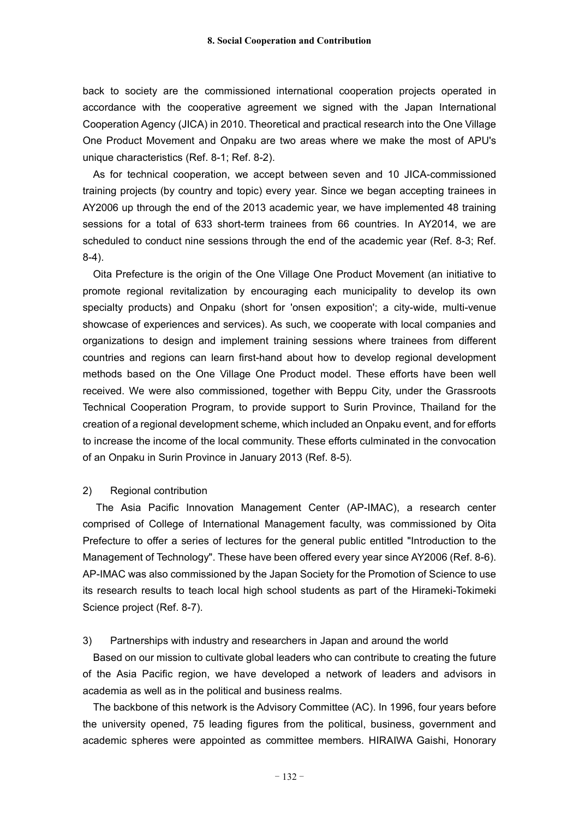back to society are the commissioned international cooperation projects operated in accordance with the cooperative agreement we signed with the Japan International Cooperation Agency (JICA) in 2010. Theoretical and practical research into the One Village One Product Movement and Onpaku are two areas where we make the most of APU's unique characteristics (Ref. 8-1; Ref. 8-2).

As for technical cooperation, we accept between seven and 10 JICA-commissioned training projects (by country and topic) every year. Since we began accepting trainees in AY2006 up through the end of the 2013 academic year, we have implemented 48 training sessions for a total of 633 short-term trainees from 66 countries. In AY2014, we are scheduled to conduct nine sessions through the end of the academic year (Ref. 8-3; Ref. 8-4).

Oita Prefecture is the origin of the One Village One Product Movement (an initiative to promote regional revitalization by encouraging each municipality to develop its own specialty products) and Onpaku (short for 'onsen exposition'; a city-wide, multi-venue showcase of experiences and services). As such, we cooperate with local companies and organizations to design and implement training sessions where trainees from different countries and regions can learn first-hand about how to develop regional development methods based on the One Village One Product model. These efforts have been well received. We were also commissioned, together with Beppu City, under the Grassroots Technical Cooperation Program, to provide support to Surin Province, Thailand for the creation of a regional development scheme, which included an Onpaku event, and for efforts to increase the income of the local community. These efforts culminated in the convocation of an Onpaku in Surin Province in January 2013 (Ref. 8-5).

#### 2) Regional contribution

The Asia Pacific Innovation Management Center (AP-IMAC), a research center comprised of College of International Management faculty, was commissioned by Oita Prefecture to offer a series of lectures for the general public entitled "Introduction to the Management of Technology". These have been offered every year since AY2006 (Ref. 8-6). AP-IMAC was also commissioned by the Japan Society for the Promotion of Science to use its research results to teach local high school students as part of the Hirameki-Tokimeki Science project (Ref. 8-7).

3) Partnerships with industry and researchers in Japan and around the world

Based on our mission to cultivate global leaders who can contribute to creating the future of the Asia Pacific region, we have developed a network of leaders and advisors in academia as well as in the political and business realms.

The backbone of this network is the Advisory Committee (AC). In 1996, four years before the university opened, 75 leading figures from the political, business, government and academic spheres were appointed as committee members. HIRAIWA Gaishi, Honorary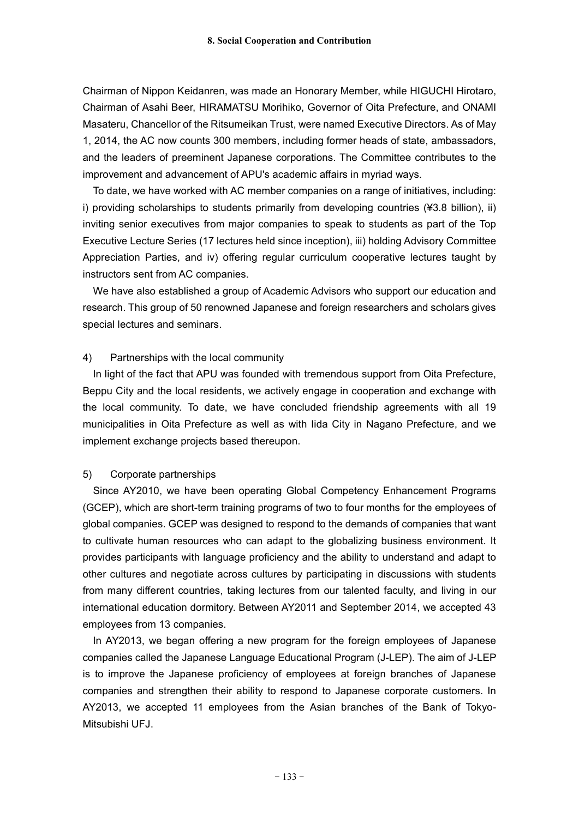Chairman of Nippon Keidanren, was made an Honorary Member, while HIGUCHI Hirotaro, Chairman of Asahi Beer, HIRAMATSU Morihiko, Governor of Oita Prefecture, and ONAMI Masateru, Chancellor of the Ritsumeikan Trust, were named Executive Directors. As of May 1, 2014, the AC now counts 300 members, including former heads of state, ambassadors, and the leaders of preeminent Japanese corporations. The Committee contributes to the improvement and advancement of APU's academic affairs in myriad ways.

To date, we have worked with AC member companies on a range of initiatives, including: i) providing scholarships to students primarily from developing countries (¥3.8 billion), ii) inviting senior executives from major companies to speak to students as part of the Top Executive Lecture Series (17 lectures held since inception), iii) holding Advisory Committee Appreciation Parties, and iv) offering regular curriculum cooperative lectures taught by instructors sent from AC companies.

We have also established a group of Academic Advisors who support our education and research. This group of 50 renowned Japanese and foreign researchers and scholars gives special lectures and seminars.

#### 4) Partnerships with the local community

In light of the fact that APU was founded with tremendous support from Oita Prefecture, Beppu City and the local residents, we actively engage in cooperation and exchange with the local community. To date, we have concluded friendship agreements with all 19 municipalities in Oita Prefecture as well as with Iida City in Nagano Prefecture, and we implement exchange projects based thereupon.

#### 5) Corporate partnerships

Since AY2010, we have been operating Global Competency Enhancement Programs (GCEP), which are short-term training programs of two to four months for the employees of global companies. GCEP was designed to respond to the demands of companies that want to cultivate human resources who can adapt to the globalizing business environment. It provides participants with language proficiency and the ability to understand and adapt to other cultures and negotiate across cultures by participating in discussions with students from many different countries, taking lectures from our talented faculty, and living in our international education dormitory. Between AY2011 and September 2014, we accepted 43 employees from 13 companies.

In AY2013, we began offering a new program for the foreign employees of Japanese companies called the Japanese Language Educational Program (J-LEP). The aim of J-LEP is to improve the Japanese proficiency of employees at foreign branches of Japanese companies and strengthen their ability to respond to Japanese corporate customers. In AY2013, we accepted 11 employees from the Asian branches of the Bank of Tokyo-Mitsubishi UFJ.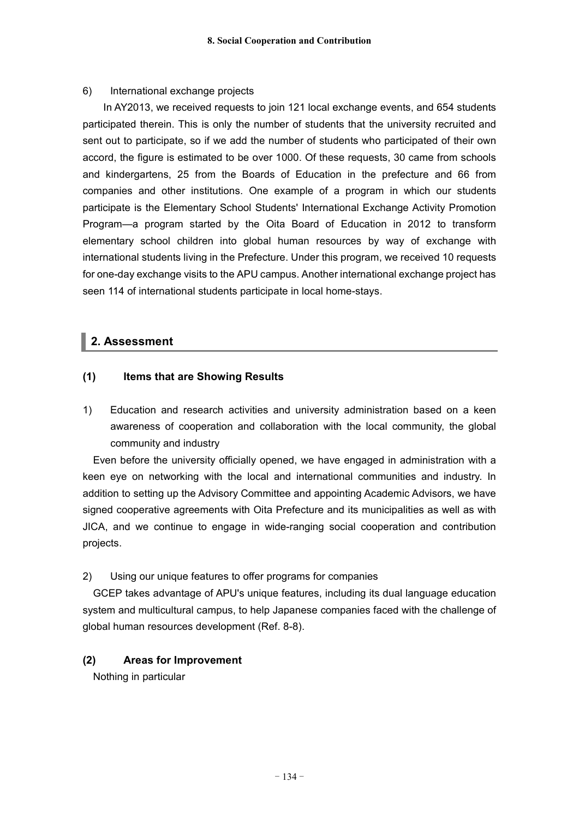#### 6) International exchange projects

In AY2013, we received requests to join 121 local exchange events, and 654 students participated therein. This is only the number of students that the university recruited and sent out to participate, so if we add the number of students who participated of their own accord, the figure is estimated to be over 1000. Of these requests, 30 came from schools and kindergartens, 25 from the Boards of Education in the prefecture and 66 from companies and other institutions. One example of a program in which our students participate is the Elementary School Students' International Exchange Activity Promotion Program—a program started by the Oita Board of Education in 2012 to transform elementary school children into global human resources by way of exchange with international students living in the Prefecture. Under this program, we received 10 requests for one-day exchange visits to the APU campus. Another international exchange project has seen 114 of international students participate in local home-stays.

# **2. Assessment**

### **(1) Items that are Showing Results**

1) Education and research activities and university administration based on a keen awareness of cooperation and collaboration with the local community, the global community and industry

Even before the university officially opened, we have engaged in administration with a keen eye on networking with the local and international communities and industry. In addition to setting up the Advisory Committee and appointing Academic Advisors, we have signed cooperative agreements with Oita Prefecture and its municipalities as well as with JICA, and we continue to engage in wide-ranging social cooperation and contribution projects.

### 2) Using our unique features to offer programs for companies

GCEP takes advantage of APU's unique features, including its dual language education system and multicultural campus, to help Japanese companies faced with the challenge of global human resources development (Ref. 8-8).

### **(2) Areas for Improvement**

Nothing in particular